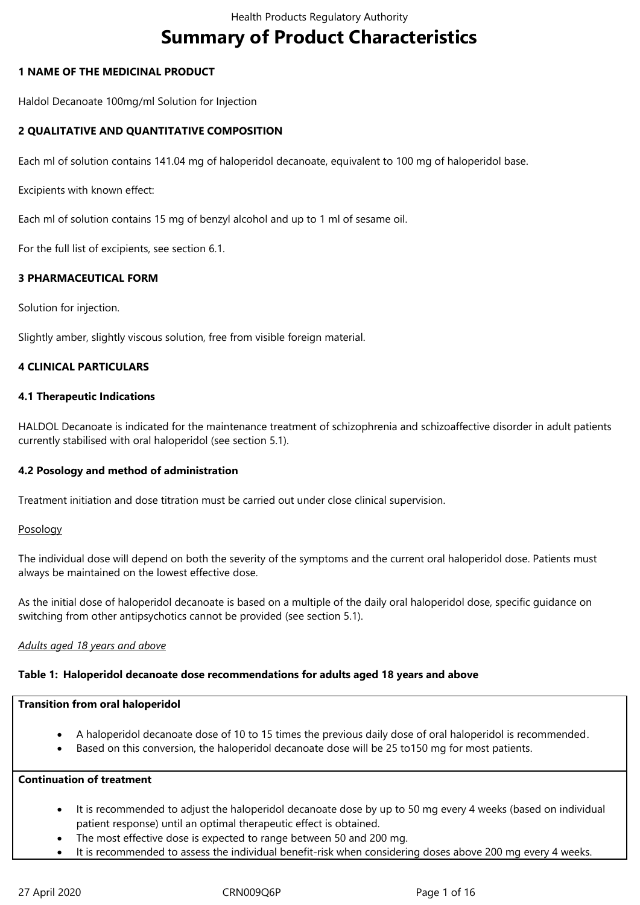# **Summary of Product Characteristics**

### **1 NAME OF THE MEDICINAL PRODUCT**

Haldol Decanoate 100mg/ml Solution for Injection

# **2 QUALITATIVE AND QUANTITATIVE COMPOSITION**

Each ml of solution contains 141.04 mg of haloperidol decanoate, equivalent to 100 mg of haloperidol base.

Excipients with known effect:

Each ml of solution contains 15 mg of benzyl alcohol and up to 1 ml of sesame oil.

For the full list of excipients, see section 6.1.

# **3 PHARMACEUTICAL FORM**

Solution for injection.

Slightly amber, slightly viscous solution, free from visible foreign material.

# **4 CLINICAL PARTICULARS**

### **4.1 Therapeutic Indications**

HALDOL Decanoate is indicated for the maintenance treatment of schizophrenia and schizoaffective disorder in adult patients currently stabilised with oral haloperidol (see section 5.1).

# **4.2 Posology and method of administration**

Treatment initiation and dose titration must be carried out under close clinical supervision.

### **Posology**

The individual dose will depend on both the severity of the symptoms and the current oral haloperidol dose. Patients must always be maintained on the lowest effective dose.

As the initial dose of haloperidol decanoate is based on a multiple of the daily oral haloperidol dose, specific guidance on switching from other antipsychotics cannot be provided (see section 5.1).

### *Adults aged 18 years and above*

### **Table 1: Haloperidol decanoate dose recommendations for adults aged 18 years and above**

### **Transition from oral haloperidol**

- A haloperidol decanoate dose of 10 to 15 times the previous daily dose of oral haloperidol is recommended.
- Based on this conversion, the haloperidol decanoate dose will be 25 to150 mg for most patients.

### **Continuation of treatment**

- It is recommended to adjust the haloperidol decanoate dose by up to 50 mg every 4 weeks (based on individual patient response) until an optimal therapeutic effect is obtained.
- The most effective dose is expected to range between 50 and 200 mg.
- It is recommended to assess the individual benefit-risk when considering doses above 200 mg every 4 weeks.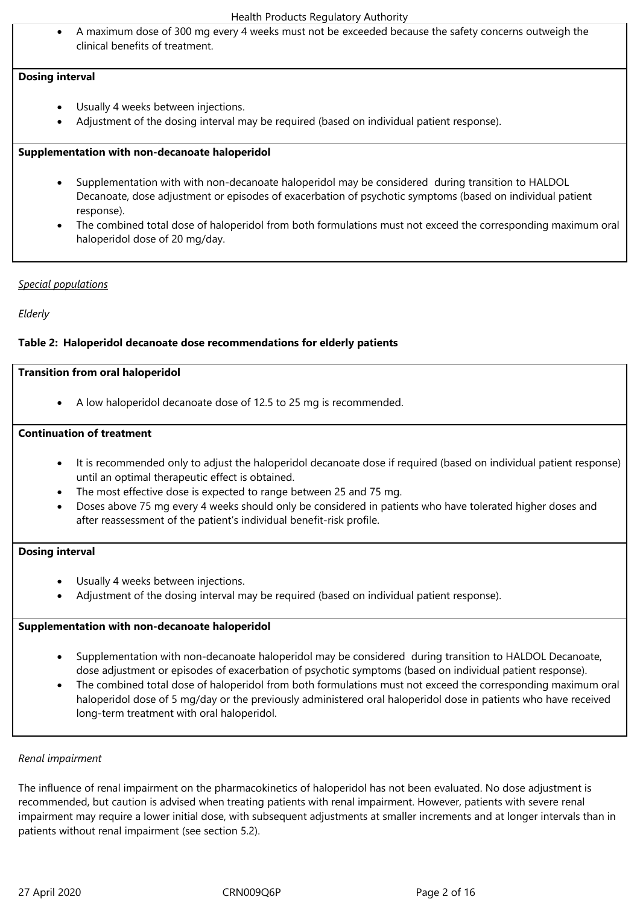A maximum dose of 300 mg every 4 weeks must not be exceeded because the safety concerns outweigh the clinical benefits of treatment.

### **Dosing interval**

- Usually 4 weeks between injections.
- Adjustment of the dosing interval may be required (based on individual patient response).

#### **Supplementation with non‑decanoate haloperidol**

- Supplementation with with non‑decanoate haloperidol may be considered during transition to HALDOL Decanoate, dose adjustment or episodes of exacerbation of psychotic symptoms (based on individual patient response).
- The combined total dose of haloperidol from both formulations must not exceed the corresponding maximum oral haloperidol dose of 20 mg/day.

### *Special populations*

*Elderly* 

### **Table 2: Haloperidol decanoate dose recommendations for elderly patients**

#### **Transition from oral haloperidol**

A low haloperidol decanoate dose of 12.5 to 25 mg is recommended.

### **Continuation of treatment**

- It is recommended only to adjust the haloperidol decanoate dose if required (based on individual patient response) until an optimal therapeutic effect is obtained.
- The most effective dose is expected to range between 25 and 75 mg.
- Doses above 75 mg every 4 weeks should only be considered in patients who have tolerated higher doses and after reassessment of the patient's individual benefit-risk profile.

### **Dosing interval**

- Usually 4 weeks between injections.
- Adjustment of the dosing interval may be required (based on individual patient response).

### **Supplementation with non‑decanoate haloperidol**

- Supplementation with non‑decanoate haloperidol may be considered during transition to HALDOL Decanoate, dose adjustment or episodes of exacerbation of psychotic symptoms (based on individual patient response).
- The combined total dose of haloperidol from both formulations must not exceed the corresponding maximum oral haloperidol dose of 5 mg/day or the previously administered oral haloperidol dose in patients who have received long-term treatment with oral haloperidol.

### *Renal impairment*

The influence of renal impairment on the pharmacokinetics of haloperidol has not been evaluated. No dose adjustment is recommended, but caution is advised when treating patients with renal impairment. However, patients with severe renal impairment may require a lower initial dose, with subsequent adjustments at smaller increments and at longer intervals than in patients without renal impairment (see section 5.2).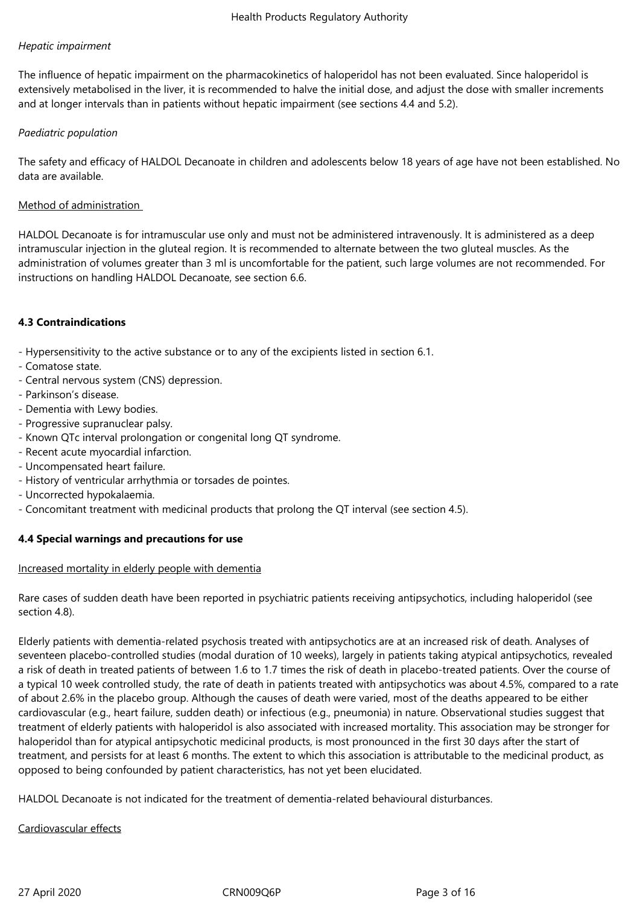### *Hepatic impairment*

The influence of hepatic impairment on the pharmacokinetics of haloperidol has not been evaluated. Since haloperidol is extensively metabolised in the liver, it is recommended to halve the initial dose, and adjust the dose with smaller increments and at longer intervals than in patients without hepatic impairment (see sections 4.4 and 5.2).

### *Paediatric population*

The safety and efficacy of HALDOL Decanoate in children and adolescents below 18 years of age have not been established. No data are available.

### Method of administration

HALDOL Decanoate is for intramuscular use only and must not be administered intravenously. It is administered as a deep intramuscular injection in the gluteal region. It is recommended to alternate between the two gluteal muscles. As the administration of volumes greater than 3 ml is uncomfortable for the patient, such large volumes are not recommended. For instructions on handling HALDOL Decanoate, see section 6.6.

### **4.3 Contraindications**

- Hypersensitivity to the active substance or to any of the excipients listed in section 6.1.

- Comatose state.
- Central nervous system (CNS) depression.
- Parkinson's disease.
- Dementia with Lewy bodies.
- Progressive supranuclear palsy.
- Known QTc interval prolongation or congenital long QT syndrome.
- Recent acute myocardial infarction.
- Uncompensated heart failure.
- History of ventricular arrhythmia or torsades de pointes.
- Uncorrected hypokalaemia.
- Concomitant treatment with medicinal products that prolong the QT interval (see section 4.5).

# **4.4 Special warnings and precautions for use**

### Increased mortality in elderly people with dementia

Rare cases of sudden death have been reported in psychiatric patients receiving antipsychotics, including haloperidol (see section 4.8).

Elderly patients with dementia‑related psychosis treated with antipsychotics are at an increased risk of death. Analyses of seventeen placebo-controlled studies (modal duration of 10 weeks), largely in patients taking atypical antipsychotics, revealed a risk of death in treated patients of between 1.6 to 1.7 times the risk of death in placebo-treated patients. Over the course of a typical 10 week controlled study, the rate of death in patients treated with antipsychotics was about 4.5%, compared to a rate of about 2.6% in the placebo group. Although the causes of death were varied, most of the deaths appeared to be either cardiovascular (e.g., heart failure, sudden death) or infectious (e.g., pneumonia) in nature. Observational studies suggest that treatment of elderly patients with haloperidol is also associated with increased mortality. This association may be stronger for haloperidol than for atypical antipsychotic medicinal products, is most pronounced in the first 30 days after the start of treatment, and persists for at least 6 months. The extent to which this association is attributable to the medicinal product, as opposed to being confounded by patient characteristics, has not yet been elucidated.

HALDOL Decanoate is not indicated for the treatment of dementia-related behavioural disturbances.

### Cardiovascular effects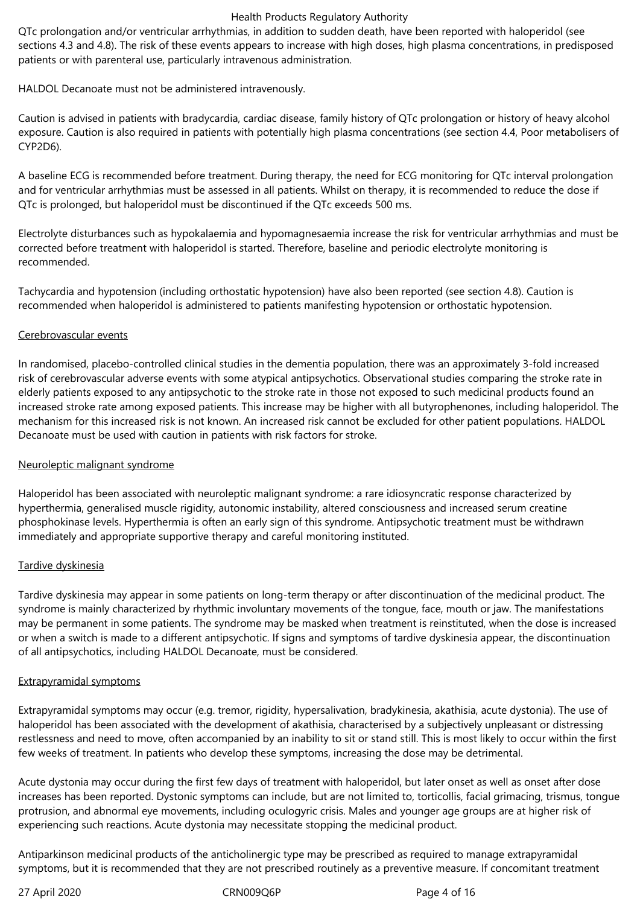QTc prolongation and/or ventricular arrhythmias, in addition to sudden death, have been reported with haloperidol (see sections 4.3 and 4.8). The risk of these events appears to increase with high doses, high plasma concentrations, in predisposed patients or with parenteral use, particularly intravenous administration.

HALDOL Decanoate must not be administered intravenously.

Caution is advised in patients with bradycardia, cardiac disease, family history of QTc prolongation or history of heavy alcohol exposure. Caution is also required in patients with potentially high plasma concentrations (see section 4.4, Poor metabolisers of CYP2D6).

A baseline ECG is recommended before treatment. During therapy, the need for ECG monitoring for QTc interval prolongation and for ventricular arrhythmias must be assessed in all patients. Whilst on therapy, it is recommended to reduce the dose if QTc is prolonged, but haloperidol must be discontinued if the QTc exceeds 500 ms.

Electrolyte disturbances such as hypokalaemia and hypomagnesaemia increase the risk for ventricular arrhythmias and must be corrected before treatment with haloperidol is started. Therefore, baseline and periodic electrolyte monitoring is recommended.

Tachycardia and hypotension (including orthostatic hypotension) have also been reported (see section 4.8). Caution is recommended when haloperidol is administered to patients manifesting hypotension or orthostatic hypotension.

### Cerebrovascular events

In randomised, placebo-controlled clinical studies in the dementia population, there was an approximately 3-fold increased risk of cerebrovascular adverse events with some atypical antipsychotics. Observational studies comparing the stroke rate in elderly patients exposed to any antipsychotic to the stroke rate in those not exposed to such medicinal products found an increased stroke rate among exposed patients. This increase may be higher with all butyrophenones, including haloperidol. The mechanism for this increased risk is not known. An increased risk cannot be excluded for other patient populations. HALDOL Decanoate must be used with caution in patients with risk factors for stroke.

# Neuroleptic malignant syndrome

Haloperidol has been associated with neuroleptic malignant syndrome: a rare idiosyncratic response characterized by hyperthermia, generalised muscle rigidity, autonomic instability, altered consciousness and increased serum creatine phosphokinase levels. Hyperthermia is often an early sign of this syndrome. Antipsychotic treatment must be withdrawn immediately and appropriate supportive therapy and careful monitoring instituted.

### Tardive dyskinesia

Tardive dyskinesia may appear in some patients on long-term therapy or after discontinuation of the medicinal product. The syndrome is mainly characterized by rhythmic involuntary movements of the tongue, face, mouth or jaw. The manifestations may be permanent in some patients. The syndrome may be masked when treatment is reinstituted, when the dose is increased or when a switch is made to a different antipsychotic. If signs and symptoms of tardive dyskinesia appear, the discontinuation of all antipsychotics, including HALDOL Decanoate, must be considered.

### Extrapyramidal symptoms

Extrapyramidal symptoms may occur (e.g. tremor, rigidity, hypersalivation, bradykinesia, akathisia, acute dystonia). The use of haloperidol has been associated with the development of akathisia, characterised by a subjectively unpleasant or distressing restlessness and need to move, often accompanied by an inability to sit or stand still. This is most likely to occur within the first few weeks of treatment. In patients who develop these symptoms, increasing the dose may be detrimental.

Acute dystonia may occur during the first few days of treatment with haloperidol, but later onset as well as onset after dose increases has been reported. Dystonic symptoms can include, but are not limited to, torticollis, facial grimacing, trismus, tongue protrusion, and abnormal eye movements, including oculogyric crisis. Males and younger age groups are at higher risk of experiencing such reactions. Acute dystonia may necessitate stopping the medicinal product.

Antiparkinson medicinal products of the anticholinergic type may be prescribed as required to manage extrapyramidal symptoms, but it is recommended that they are not prescribed routinely as a preventive measure. If concomitant treatment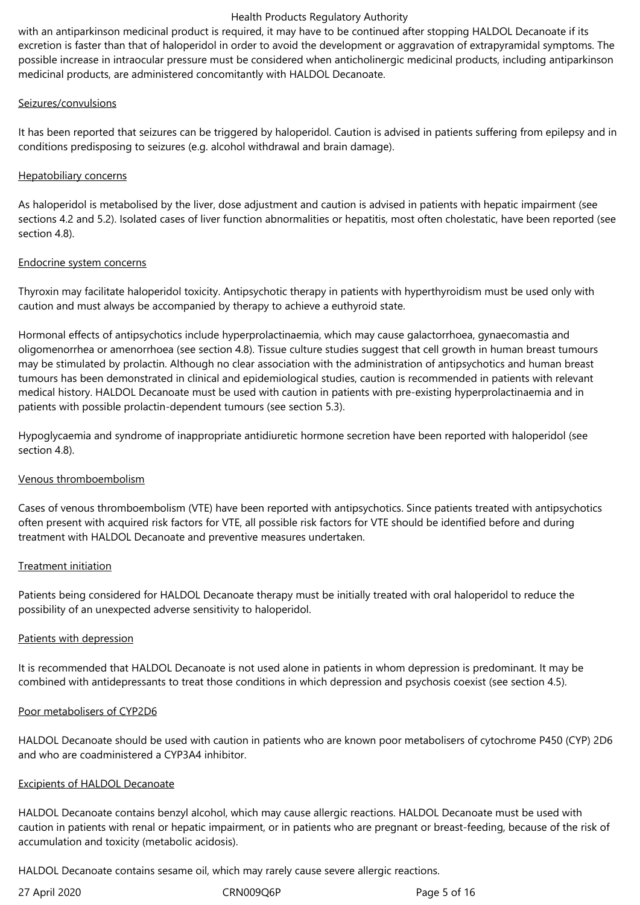with an antiparkinson medicinal product is required, it may have to be continued after stopping HALDOL Decanoate if its excretion is faster than that of haloperidol in order to avoid the development or aggravation of extrapyramidal symptoms. The possible increase in intraocular pressure must be considered when anticholinergic medicinal products, including antiparkinson medicinal products, are administered concomitantly with HALDOL Decanoate.

### Seizures/convulsions

It has been reported that seizures can be triggered by haloperidol. Caution is advised in patients suffering from epilepsy and in conditions predisposing to seizures (e.g. alcohol withdrawal and brain damage).

### Hepatobiliary concerns

As haloperidol is metabolised by the liver, dose adjustment and caution is advised in patients with hepatic impairment (see sections 4.2 and 5.2). Isolated cases of liver function abnormalities or hepatitis, most often cholestatic, have been reported (see section 4.8).

### Endocrine system concerns

Thyroxin may facilitate haloperidol toxicity. Antipsychotic therapy in patients with hyperthyroidism must be used only with caution and must always be accompanied by therapy to achieve a euthyroid state.

Hormonal effects of antipsychotics include hyperprolactinaemia, which may cause galactorrhoea, gynaecomastia and oligomenorrhea or amenorrhoea (see section 4.8). Tissue culture studies suggest that cell growth in human breast tumours may be stimulated by prolactin. Although no clear association with the administration of antipsychotics and human breast tumours has been demonstrated in clinical and epidemiological studies, caution is recommended in patients with relevant medical history. HALDOL Decanoate must be used with caution in patients with pre‑existing hyperprolactinaemia and in patients with possible prolactin-dependent tumours (see section 5.3).

Hypoglycaemia and syndrome of inappropriate antidiuretic hormone secretion have been reported with haloperidol (see section 4.8).

# Venous thromboembolism

Cases of venous thromboembolism (VTE) have been reported with antipsychotics. Since patients treated with antipsychotics often present with acquired risk factors for VTE, all possible risk factors for VTE should be identified before and during treatment with HALDOL Decanoate and preventive measures undertaken.

### Treatment initiation

Patients being considered for HALDOL Decanoate therapy must be initially treated with oral haloperidol to reduce the possibility of an unexpected adverse sensitivity to haloperidol.

# Patients with depression

It is recommended that HALDOL Decanoate is not used alone in patients in whom depression is predominant. It may be combined with antidepressants to treat those conditions in which depression and psychosis coexist (see section 4.5).

# Poor metabolisers of CYP2D6

HALDOL Decanoate should be used with caution in patients who are known poor metabolisers of cytochrome P450 (CYP) 2D6 and who are coadministered a CYP3A4 inhibitor.

### Excipients of HALDOL Decanoate

HALDOL Decanoate contains benzyl alcohol, which may cause allergic reactions. HALDOL Decanoate must be used with caution in patients with renal or hepatic impairment, or in patients who are pregnant or breast-feeding, because of the risk of accumulation and toxicity (metabolic acidosis).

HALDOL Decanoate contains sesame oil, which may rarely cause severe allergic reactions.

27 April 2020 **CRN009Q6P** Page 5 of 16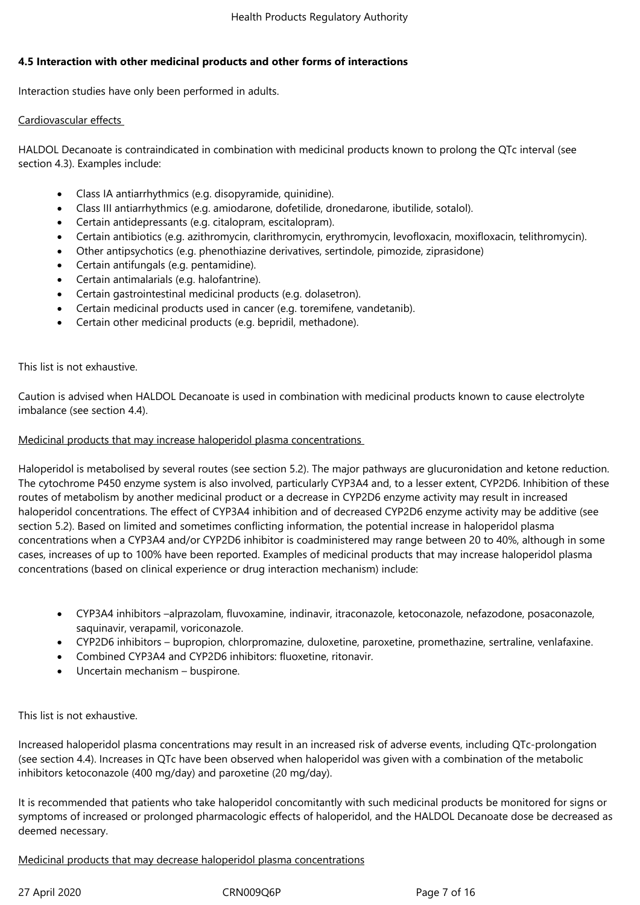### **4.5 Interaction with other medicinal products and other forms of interactions**

Interaction studies have only been performed in adults.

# Cardiovascular effects

HALDOL Decanoate is contraindicated in combination with medicinal products known to prolong the QTc interval (see section 4.3). Examples include:

- Class IA antiarrhythmics (e.g. disopyramide, quinidine).
- Class III antiarrhythmics (e.g. amiodarone, dofetilide, dronedarone, ibutilide, sotalol).
- Certain antidepressants (e.g. citalopram, escitalopram).
- Certain antibiotics (e.g. azithromycin, clarithromycin, erythromycin, levofloxacin, moxifloxacin, telithromycin).
- Other antipsychotics (e.g. phenothiazine derivatives, sertindole, pimozide, ziprasidone)
- Certain antifungals (e.g. pentamidine).
- Certain antimalarials (e.g. halofantrine).
- Certain gastrointestinal medicinal products (e.g. dolasetron).
- Certain medicinal products used in cancer (e.g. toremifene, vandetanib).
- Certain other medicinal products (e.g. bepridil, methadone).

This list is not exhaustive.

Caution is advised when HALDOL Decanoate is used in combination with medicinal products known to cause electrolyte imbalance (see section 4.4).

### Medicinal products that may increase haloperidol plasma concentrations

Haloperidol is metabolised by several routes (see section 5.2). The major pathways are glucuronidation and ketone reduction. The cytochrome P450 enzyme system is also involved, particularly CYP3A4 and, to a lesser extent, CYP2D6. Inhibition of these routes of metabolism by another medicinal product or a decrease in CYP2D6 enzyme activity may result in increased haloperidol concentrations. The effect of CYP3A4 inhibition and of decreased CYP2D6 enzyme activity may be additive (see section 5.2). Based on limited and sometimes conflicting information, the potential increase in haloperidol plasma concentrations when a CYP3A4 and/or CYP2D6 inhibitor is coadministered may range between 20 to 40%, although in some cases, increases of up to 100% have been reported. Examples of medicinal products that may increase haloperidol plasma concentrations (based on clinical experience or drug interaction mechanism) include:

- CYP3A4 inhibitors –alprazolam, fluvoxamine, indinavir, itraconazole, ketoconazole, nefazodone, posaconazole, saquinavir, verapamil, voriconazole.
- CYP2D6 inhibitors bupropion, chlorpromazine, duloxetine, paroxetine, promethazine, sertraline, venlafaxine.
- Combined CYP3A4 and CYP2D6 inhibitors: fluoxetine, ritonavir.
- Uncertain mechanism buspirone.

This list is not exhaustive.

Increased haloperidol plasma concentrations may result in an increased risk of adverse events, including QTc‑prolongation (see section 4.4). Increases in QTc have been observed when haloperidol was given with a combination of the metabolic inhibitors ketoconazole (400 mg/day) and paroxetine (20 mg/day).

It is recommended that patients who take haloperidol concomitantly with such medicinal products be monitored for signs or symptoms of increased or prolonged pharmacologic effects of haloperidol, and the HALDOL Decanoate dose be decreased as deemed necessary.

Medicinal products that may decrease haloperidol plasma concentrations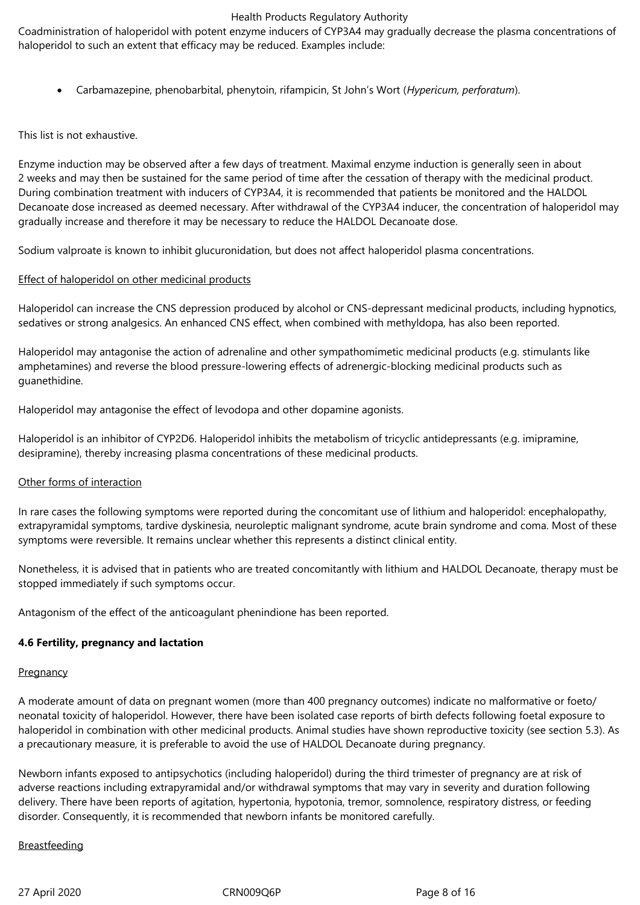Coadministration of haloperidol with potent enzyme inducers of CYP3A4 may gradually decrease the plasma concentrations of haloperidol to such an extent that efficacy may be reduced. Examples include:

Carbamazepine, phenobarbital, phenytoin, rifampicin, St John's Wort (*Hypericum, perforatum*).

This list is not exhaustive.

Enzyme induction may be observed after a few days of treatment. Maximal enzyme induction is generally seen in about 2 weeks and may then be sustained for the same period of time after the cessation of therapy with the medicinal product. During combination treatment with inducers of CYP3A4, it is recommended that patients be monitored and the HALDOL Decanoate dose increased as deemed necessary. After withdrawal of the CYP3A4 inducer, the concentration of haloperidol may gradually increase and therefore it may be necessary to reduce the HALDOL Decanoate dose.

Sodium valproate is known to inhibit glucuronidation, but does not affect haloperidol plasma concentrations.

### Effect of haloperidol on other medicinal products

Haloperidol can increase the CNS depression produced by alcohol or CNS-depressant medicinal products, including hypnotics, sedatives or strong analgesics. An enhanced CNS effect, when combined with methyldopa, has also been reported.

Haloperidol may antagonise the action of adrenaline and other sympathomimetic medicinal products (e.g. stimulants like amphetamines) and reverse the blood pressure-lowering effects of adrenergic-blocking medicinal products such as guanethidine.

Haloperidol may antagonise the effect of levodopa and other dopamine agonists.

Haloperidol is an inhibitor of CYP2D6. Haloperidol inhibits the metabolism of tricyclic antidepressants (e.g. imipramine, desipramine), thereby increasing plasma concentrations of these medicinal products.

### Other forms of interaction

In rare cases the following symptoms were reported during the concomitant use of lithium and haloperidol: encephalopathy, extrapyramidal symptoms, tardive dyskinesia, neuroleptic malignant syndrome, acute brain syndrome and coma. Most of these symptoms were reversible. It remains unclear whether this represents a distinct clinical entity.

Nonetheless, it is advised that in patients who are treated concomitantly with lithium and HALDOL Decanoate, therapy must be stopped immediately if such symptoms occur.

Antagonism of the effect of the anticoagulant phenindione has been reported.

### **4.6 Fertility, pregnancy and lactation**

### **Pregnancy**

A moderate amount of data on pregnant women (more than 400 pregnancy outcomes) indicate no malformative or foeto/ neonatal toxicity of haloperidol. However, there have been isolated case reports of birth defects following foetal exposure to haloperidol in combination with other medicinal products. Animal studies have shown reproductive toxicity (see section 5.3). As a precautionary measure, it is preferable to avoid the use of HALDOL Decanoate during pregnancy.

Newborn infants exposed to antipsychotics (including haloperidol) during the third trimester of pregnancy are at risk of adverse reactions including extrapyramidal and/or withdrawal symptoms that may vary in severity and duration following delivery. There have been reports of agitation, hypertonia, hypotonia, tremor, somnolence, respiratory distress, or feeding disorder. Consequently, it is recommended that newborn infants be monitored carefully.

# **Breastfeeding**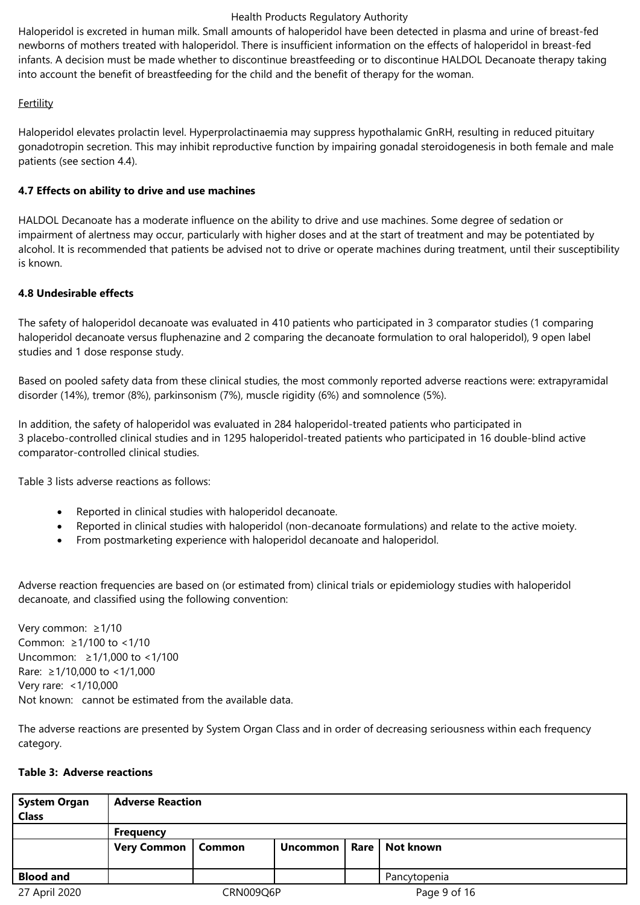Haloperidol is excreted in human milk. Small amounts of haloperidol have been detected in plasma and urine of breast-fed newborns of mothers treated with haloperidol. There is insufficient information on the effects of haloperidol in breast-fed infants. A decision must be made whether to discontinue breastfeeding or to discontinue HALDOL Decanoate therapy taking into account the benefit of breastfeeding for the child and the benefit of therapy for the woman.

### **Fertility**

Haloperidol elevates prolactin level. Hyperprolactinaemia may suppress hypothalamic GnRH, resulting in reduced pituitary gonadotropin secretion. This may inhibit reproductive function by impairing gonadal steroidogenesis in both female and male patients (see section 4.4).

### **4.7 Effects on ability to drive and use machines**

HALDOL Decanoate has a moderate influence on the ability to drive and use machines. Some degree of sedation or impairment of alertness may occur, particularly with higher doses and at the start of treatment and may be potentiated by alcohol. It is recommended that patients be advised not to drive or operate machines during treatment, until their susceptibility is known.

### **4.8 Undesirable effects**

The safety of haloperidol decanoate was evaluated in 410 patients who participated in 3 comparator studies (1 comparing haloperidol decanoate versus fluphenazine and 2 comparing the decanoate formulation to oral haloperidol), 9 open label studies and 1 dose response study.

Based on pooled safety data from these clinical studies, the most commonly reported adverse reactions were: extrapyramidal disorder (14%), tremor (8%), parkinsonism (7%), muscle rigidity (6%) and somnolence (5%).

In addition, the safety of haloperidol was evaluated in 284 haloperidol-treated patients who participated in 3 placebo-controlled clinical studies and in 1295 haloperidol-treated patients who participated in 16 double-blind active comparator‑controlled clinical studies.

Table 3 lists adverse reactions as follows:

- Reported in clinical studies with haloperidol decanoate.
- Reported in clinical studies with haloperidol (non‑decanoate formulations) and relate to the active moiety.
- From postmarketing experience with haloperidol decanoate and haloperidol.

Adverse reaction frequencies are based on (or estimated from) clinical trials or epidemiology studies with haloperidol decanoate, and classified using the following convention:

Very common: ≥1/10 Common: ≥1/100 to <1/10 Uncommon: ≥1/1,000 to <1/100 Rare: ≥1/10,000 to <1/1,000 Very rare: <1/10,000 Not known: cannot be estimated from the available data.

The adverse reactions are presented by System Organ Class and in order of decreasing seriousness within each frequency category.

### **Table 3: Adverse reactions**

| <b>System Organ</b><br><b>Class</b> | <b>Adverse Reaction</b> |        |                             |              |              |  |  |  |
|-------------------------------------|-------------------------|--------|-----------------------------|--------------|--------------|--|--|--|
|                                     | <b>Frequency</b>        |        |                             |              |              |  |  |  |
|                                     | <b>Very Common</b>      | Common | Uncommon   Rare   Not known |              |              |  |  |  |
| <b>Blood and</b>                    |                         |        |                             |              | Pancytopenia |  |  |  |
| 27 April 2020                       | CRN009Q6P               |        |                             | Page 9 of 16 |              |  |  |  |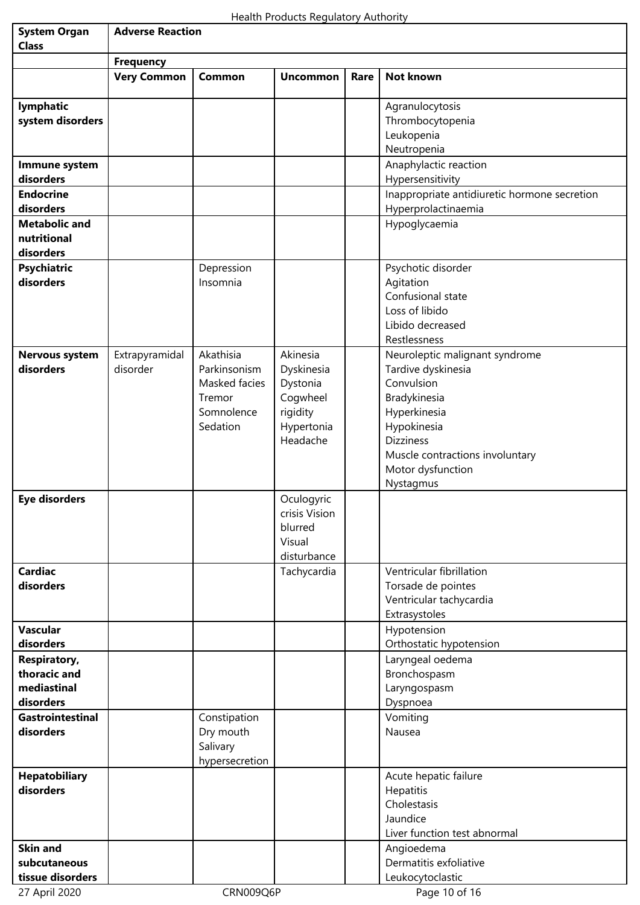| <b>System Organ</b>                | <b>Adverse Reaction</b>                |                           |                             |      |                                                                     |  |  |
|------------------------------------|----------------------------------------|---------------------------|-----------------------------|------|---------------------------------------------------------------------|--|--|
| <b>Class</b>                       |                                        |                           |                             |      |                                                                     |  |  |
|                                    | <b>Frequency</b><br><b>Very Common</b> | Common                    | <b>Uncommon</b>             | Rare | <b>Not known</b>                                                    |  |  |
|                                    |                                        |                           |                             |      |                                                                     |  |  |
| lymphatic                          |                                        |                           |                             |      | Agranulocytosis                                                     |  |  |
| system disorders                   |                                        |                           |                             |      | Thrombocytopenia                                                    |  |  |
|                                    |                                        |                           |                             |      | Leukopenia                                                          |  |  |
|                                    |                                        |                           |                             |      | Neutropenia                                                         |  |  |
| Immune system                      |                                        |                           |                             |      | Anaphylactic reaction                                               |  |  |
| disorders                          |                                        |                           |                             |      | Hypersensitivity                                                    |  |  |
| <b>Endocrine</b><br>disorders      |                                        |                           |                             |      | Inappropriate antidiuretic hormone secretion<br>Hyperprolactinaemia |  |  |
| <b>Metabolic and</b>               |                                        |                           |                             |      | Hypoglycaemia                                                       |  |  |
| nutritional                        |                                        |                           |                             |      |                                                                     |  |  |
| disorders                          |                                        |                           |                             |      |                                                                     |  |  |
| <b>Psychiatric</b>                 |                                        | Depression                |                             |      | Psychotic disorder                                                  |  |  |
| disorders                          |                                        | Insomnia                  |                             |      | Agitation                                                           |  |  |
|                                    |                                        |                           |                             |      | Confusional state                                                   |  |  |
|                                    |                                        |                           |                             |      | Loss of libido                                                      |  |  |
|                                    |                                        |                           |                             |      | Libido decreased                                                    |  |  |
|                                    |                                        |                           |                             |      | Restlessness                                                        |  |  |
| <b>Nervous system</b><br>disorders | Extrapyramidal<br>disorder             | Akathisia<br>Parkinsonism | Akinesia                    |      | Neuroleptic malignant syndrome                                      |  |  |
|                                    |                                        | Masked facies             | Dyskinesia<br>Dystonia      |      | Tardive dyskinesia<br>Convulsion                                    |  |  |
|                                    |                                        | Tremor                    | Cogwheel                    |      | Bradykinesia                                                        |  |  |
|                                    |                                        | Somnolence                | rigidity                    |      | Hyperkinesia                                                        |  |  |
|                                    |                                        | Sedation                  | Hypertonia                  |      | Hypokinesia                                                         |  |  |
|                                    |                                        |                           | Headache                    |      | <b>Dizziness</b>                                                    |  |  |
|                                    |                                        |                           |                             |      | Muscle contractions involuntary                                     |  |  |
|                                    |                                        |                           |                             |      | Motor dysfunction                                                   |  |  |
|                                    |                                        |                           |                             |      | Nystagmus                                                           |  |  |
| <b>Eye disorders</b>               |                                        |                           | Oculogyric<br>crisis Vision |      |                                                                     |  |  |
|                                    |                                        |                           | blurred                     |      |                                                                     |  |  |
|                                    |                                        |                           | Visual                      |      |                                                                     |  |  |
|                                    |                                        |                           | disturbance                 |      |                                                                     |  |  |
| <b>Cardiac</b>                     |                                        |                           | Tachycardia                 |      | Ventricular fibrillation                                            |  |  |
| disorders                          |                                        |                           |                             |      | Torsade de pointes                                                  |  |  |
|                                    |                                        |                           |                             |      | Ventricular tachycardia                                             |  |  |
|                                    |                                        |                           |                             |      | Extrasystoles                                                       |  |  |
| <b>Vascular</b><br>disorders       |                                        |                           |                             |      | Hypotension                                                         |  |  |
| <b>Respiratory,</b>                |                                        |                           |                             |      | Orthostatic hypotension<br>Laryngeal oedema                         |  |  |
| thoracic and                       |                                        |                           |                             |      | Bronchospasm                                                        |  |  |
| mediastinal                        |                                        |                           |                             |      | Laryngospasm                                                        |  |  |
| disorders                          |                                        |                           |                             |      | Dyspnoea                                                            |  |  |
| <b>Gastrointestinal</b>            |                                        | Constipation              |                             |      | Vomiting                                                            |  |  |
| disorders                          |                                        | Dry mouth                 |                             |      | Nausea                                                              |  |  |
|                                    |                                        | Salivary                  |                             |      |                                                                     |  |  |
|                                    |                                        | hypersecretion            |                             |      |                                                                     |  |  |
| <b>Hepatobiliary</b>               |                                        |                           |                             |      | Acute hepatic failure                                               |  |  |
| disorders                          |                                        |                           |                             |      | Hepatitis<br>Cholestasis                                            |  |  |
|                                    |                                        |                           |                             |      | Jaundice                                                            |  |  |
|                                    |                                        |                           |                             |      | Liver function test abnormal                                        |  |  |
| <b>Skin and</b>                    |                                        |                           |                             |      | Angioedema                                                          |  |  |
| subcutaneous                       |                                        |                           |                             |      | Dermatitis exfoliative                                              |  |  |
| tissue disorders                   |                                        |                           |                             |      | Leukocytoclastic                                                    |  |  |
| 27 April 2020                      |                                        | CRN009Q6P                 |                             |      | Page 10 of 16                                                       |  |  |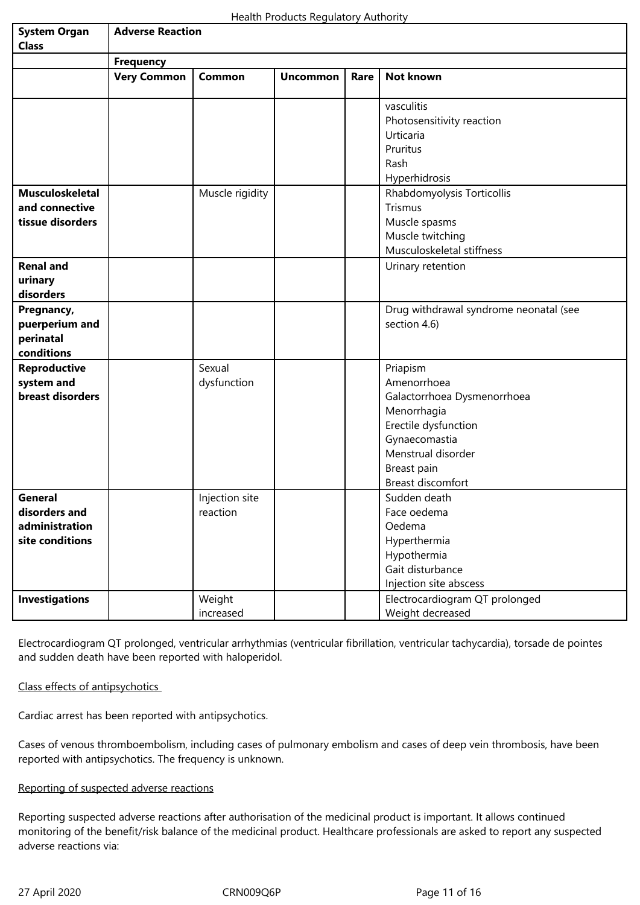| <b>System Organ</b><br><b>Class</b>                                  | <b>Adverse Reaction</b> |                            |                 |      |                                                                                                                                                                          |  |  |  |
|----------------------------------------------------------------------|-------------------------|----------------------------|-----------------|------|--------------------------------------------------------------------------------------------------------------------------------------------------------------------------|--|--|--|
|                                                                      | <b>Frequency</b>        |                            |                 |      |                                                                                                                                                                          |  |  |  |
|                                                                      | <b>Very Common</b>      | Common                     | <b>Uncommon</b> | Rare | Not known                                                                                                                                                                |  |  |  |
|                                                                      |                         |                            |                 |      | vasculitis<br>Photosensitivity reaction<br>Urticaria<br>Pruritus<br>Rash<br>Hyperhidrosis                                                                                |  |  |  |
| <b>Musculoskeletal</b><br>and connective<br>tissue disorders         |                         | Muscle rigidity            |                 |      | Rhabdomyolysis Torticollis<br>Trismus<br>Muscle spasms<br>Muscle twitching<br>Musculoskeletal stiffness                                                                  |  |  |  |
| <b>Renal and</b><br>urinary<br>disorders                             |                         |                            |                 |      | Urinary retention                                                                                                                                                        |  |  |  |
| Pregnancy,<br>puerperium and<br>perinatal<br>conditions              |                         |                            |                 |      | Drug withdrawal syndrome neonatal (see<br>section 4.6)                                                                                                                   |  |  |  |
| <b>Reproductive</b><br>system and<br>breast disorders                |                         | Sexual<br>dysfunction      |                 |      | Priapism<br>Amenorrhoea<br>Galactorrhoea Dysmenorrhoea<br>Menorrhagia<br>Erectile dysfunction<br>Gynaecomastia<br>Menstrual disorder<br>Breast pain<br>Breast discomfort |  |  |  |
| <b>General</b><br>disorders and<br>administration<br>site conditions |                         | Injection site<br>reaction |                 |      | Sudden death<br>Face oedema<br>Oedema<br>Hyperthermia<br>Hypothermia<br>Gait disturbance<br>Injection site abscess                                                       |  |  |  |
| <b>Investigations</b>                                                |                         | Weight<br>increased        |                 |      | Electrocardiogram QT prolonged<br>Weight decreased                                                                                                                       |  |  |  |

Electrocardiogram QT prolonged, ventricular arrhythmias (ventricular fibrillation, ventricular tachycardia), torsade de pointes and sudden death have been reported with haloperidol.

### Class effects of antipsychotics

Cardiac arrest has been reported with antipsychotics.

Cases of venous thromboembolism, including cases of pulmonary embolism and cases of deep vein thrombosis, have been reported with antipsychotics. The frequency is unknown.

### Reporting of suspected adverse reactions

Reporting suspected adverse reactions after authorisation of the medicinal product is important. It allows continued monitoring of the benefit/risk balance of the medicinal product. Healthcare professionals are asked to report any suspected adverse reactions via: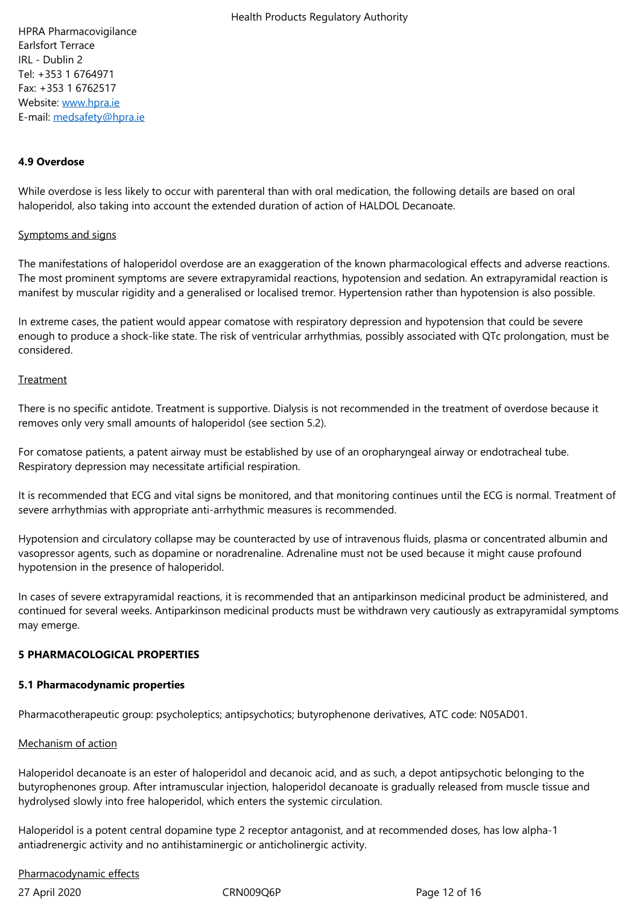IRL - Dublin 2 Tel: +353 1 6764971 Fax: +353 1 6762517 Website: www.hpra.ie E-mail: medsafety@hpra.ie

#### **4.9 Ov[er](/cm/SitePages/medsafety@hpra.ie)[dose](/cm/SitePages/www.hpra.ie)**

While overdose is less likely to occur with parenteral than with oral medication, the following details are based on oral haloperidol, also taking into account the extended duration of action of HALDOL Decanoate.

#### Symptoms and signs

The manifestations of haloperidol overdose are an exaggeration of the known pharmacological effects and adverse reactions. The most prominent symptoms are severe extrapyramidal reactions, hypotension and sedation. An extrapyramidal reaction is manifest by muscular rigidity and a generalised or localised tremor. Hypertension rather than hypotension is also possible.

In extreme cases, the patient would appear comatose with respiratory depression and hypotension that could be severe enough to produce a shock‑like state. The risk of ventricular arrhythmias, possibly associated with QTc prolongation, must be considered.

#### **Treatment**

There is no specific antidote. Treatment is supportive. Dialysis is not recommended in the treatment of overdose because it removes only very small amounts of haloperidol (see section 5.2).

For comatose patients, a patent airway must be established by use of an oropharyngeal airway or endotracheal tube. Respiratory depression may necessitate artificial respiration.

It is recommended that ECG and vital signs be monitored, and that monitoring continues until the ECG is normal. Treatment of severe arrhythmias with appropriate anti-arrhythmic measures is recommended.

Hypotension and circulatory collapse may be counteracted by use of intravenous fluids, plasma or concentrated albumin and vasopressor agents, such as dopamine or noradrenaline. Adrenaline must not be used because it might cause profound hypotension in the presence of haloperidol.

In cases of severe extrapyramidal reactions, it is recommended that an antiparkinson medicinal product be administered, and continued for several weeks. Antiparkinson medicinal products must be withdrawn very cautiously as extrapyramidal symptoms may emerge.

#### **5 PHARMACOLOGICAL PROPERTIES**

#### **5.1 Pharmacodynamic properties**

Pharmacotherapeutic group: psycholeptics; antipsychotics; butyrophenone derivatives, ATC code: N05AD01.

#### Mechanism of action

Haloperidol decanoate is an ester of haloperidol and decanoic acid, and as such, a depot antipsychotic belonging to the butyrophenones group. After intramuscular injection, haloperidol decanoate is gradually released from muscle tissue and hydrolysed slowly into free haloperidol, which enters the systemic circulation.

Haloperidol is a potent central dopamine type 2 receptor antagonist, and at recommended doses, has low alpha-1 antiadrenergic activity and no antihistaminergic or anticholinergic activity.

#### Pharmacodynamic effects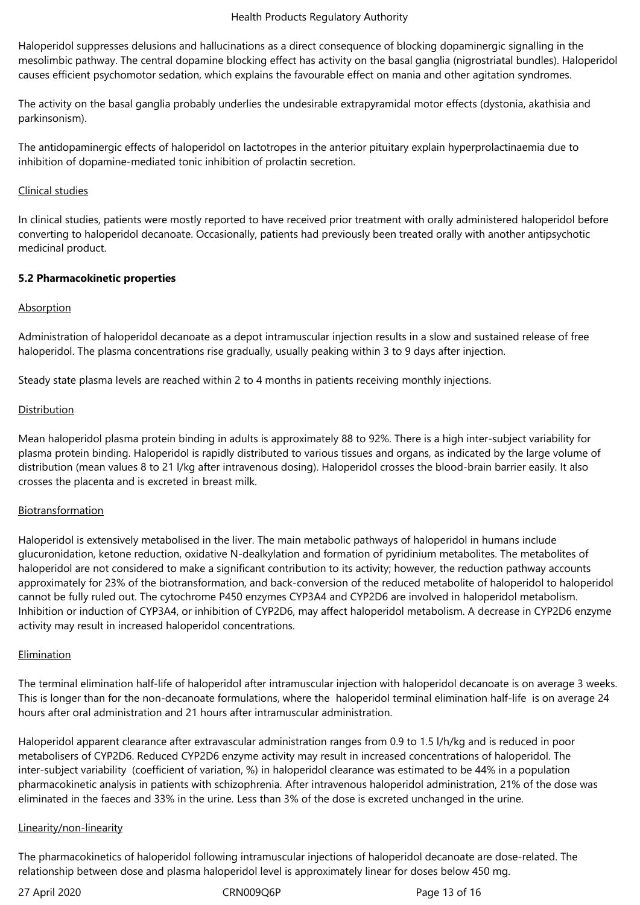Haloperidol suppresses delusions and hallucinations as a direct consequence of blocking dopaminergic signalling in the mesolimbic pathway. The central dopamine blocking effect has activity on the basal ganglia (nigrostriatal bundles). Haloperidol causes efficient psychomotor sedation, which explains the favourable effect on mania and other agitation syndromes.

The activity on the basal ganglia probably underlies the undesirable extrapyramidal motor effects (dystonia, akathisia and parkinsonism).

The antidopaminergic effects of haloperidol on lactotropes in the anterior pituitary explain hyperprolactinaemia due to inhibition of dopamine‑mediated tonic inhibition of prolactin secretion.

### Clinical studies

In clinical studies, patients were mostly reported to have received prior treatment with orally administered haloperidol before converting to haloperidol decanoate. Occasionally, patients had previously been treated orally with another antipsychotic medicinal product.

### **5.2 Pharmacokinetic properties**

# **Absorption**

Administration of haloperidol decanoate as a depot intramuscular injection results in a slow and sustained release of free haloperidol. The plasma concentrations rise gradually, usually peaking within 3 to 9 days after injection.

Steady state plasma levels are reached within 2 to 4 months in patients receiving monthly injections.

### Distribution

Mean haloperidol plasma protein binding in adults is approximately 88 to 92%. There is a high inter-subject variability for plasma protein binding. Haloperidol is rapidly distributed to various tissues and organs, as indicated by the large volume of distribution (mean values 8 to 21 l/kg after intravenous dosing). Haloperidol crosses the blood-brain barrier easily. It also crosses the placenta and is excreted in breast milk.

### **Biotransformation**

Haloperidol is extensively metabolised in the liver. The main metabolic pathways of haloperidol in humans include glucuronidation, ketone reduction, oxidative N‑dealkylation and formation of pyridinium metabolites. The metabolites of haloperidol are not considered to make a significant contribution to its activity; however, the reduction pathway accounts approximately for 23% of the biotransformation, and back-conversion of the reduced metabolite of haloperidol to haloperidol cannot be fully ruled out. The cytochrome P450 enzymes CYP3A4 and CYP2D6 are involved in haloperidol metabolism. Inhibition or induction of CYP3A4, or inhibition of CYP2D6, may affect haloperidol metabolism. A decrease in CYP2D6 enzyme activity may result in increased haloperidol concentrations.

### Elimination

The terminal elimination half-life of haloperidol after intramuscular injection with haloperidol decanoate is on average 3 weeks. This is longer than for the non-decanoate formulations, where the haloperidol terminal elimination half-life is on average 24 hours after oral administration and 21 hours after intramuscular administration.

Haloperidol apparent clearance after extravascular administration ranges from 0.9 to 1.5 l/h/kg and is reduced in poor metabolisers of CYP2D6. Reduced CYP2D6 enzyme activity may result in increased concentrations of haloperidol. The inter-subject variability (coefficient of variation, %) in haloperidol clearance was estimated to be 44% in a population pharmacokinetic analysis in patients with schizophrenia. After intravenous haloperidol administration, 21% of the dose was eliminated in the faeces and 33% in the urine. Less than 3% of the dose is excreted unchanged in the urine.

### Linearity/non-linearity

The pharmacokinetics of haloperidol following intramuscular injections of haloperidol decanoate are dose-related. The relationship between dose and plasma haloperidol level is approximately linear for doses below 450 mg.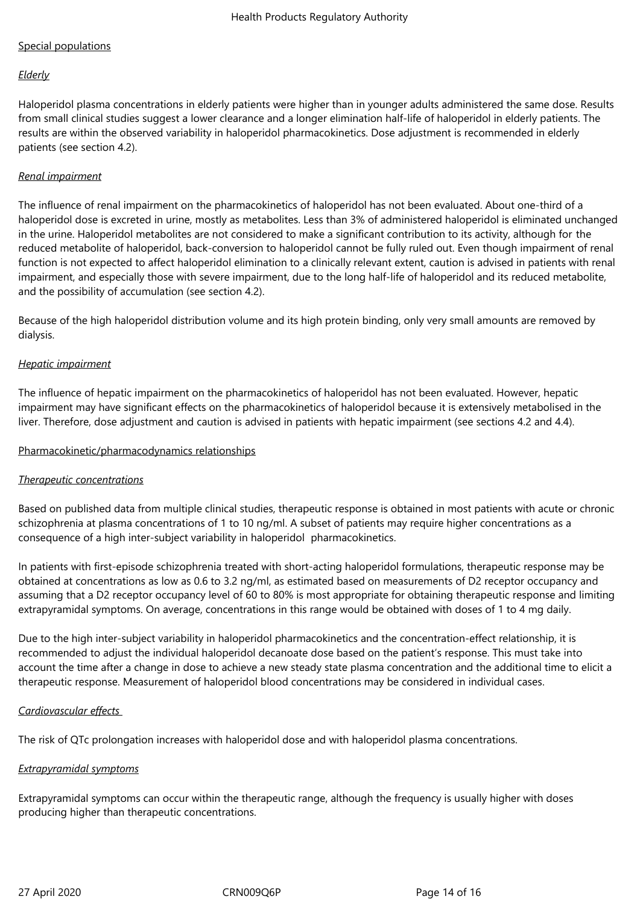# Special populations

### *Elderly*

Haloperidol plasma concentrations in elderly patients were higher than in younger adults administered the same dose. Results from small clinical studies suggest a lower clearance and a longer elimination half-life of haloperidol in elderly patients. The results are within the observed variability in haloperidol pharmacokinetics. Dose adjustment is recommended in elderly patients (see section 4.2).

### *Renal impairment*

The influence of renal impairment on the pharmacokinetics of haloperidol has not been evaluated. About one-third of a haloperidol dose is excreted in urine, mostly as metabolites. Less than 3% of administered haloperidol is eliminated unchanged in the urine. Haloperidol metabolites are not considered to make a significant contribution to its activity, although for the reduced metabolite of haloperidol, back‑conversion to haloperidol cannot be fully ruled out. Even though impairment of renal function is not expected to affect haloperidol elimination to a clinically relevant extent, caution is advised in patients with renal impairment, and especially those with severe impairment, due to the long half-life of haloperidol and its reduced metabolite, and the possibility of accumulation (see section 4.2).

Because of the high haloperidol distribution volume and its high protein binding, only very small amounts are removed by dialysis.

### *Hepatic impairment*

The influence of hepatic impairment on the pharmacokinetics of haloperidol has not been evaluated. However, hepatic impairment may have significant effects on the pharmacokinetics of haloperidol because it is extensively metabolised in the liver. Therefore, dose adjustment and caution is advised in patients with hepatic impairment (see sections 4.2 and 4.4).

### Pharmacokinetic/pharmacodynamics relationships

### *Therapeutic concentrations*

Based on published data from multiple clinical studies, therapeutic response is obtained in most patients with acute or chronic schizophrenia at plasma concentrations of 1 to 10 ng/ml. A subset of patients may require higher concentrations as a consequence of a high inter-subject variability in haloperidol pharmacokinetics.

In patients with first-episode schizophrenia treated with short-acting haloperidol formulations, therapeutic response may be obtained at concentrations as low as 0.6 to 3.2 ng/ml, as estimated based on measurements of D2 receptor occupancy and assuming that a D2 receptor occupancy level of 60 to 80% is most appropriate for obtaining therapeutic response and limiting extrapyramidal symptoms. On average, concentrations in this range would be obtained with doses of 1 to 4 mg daily.

Due to the high inter-subject variability in haloperidol pharmacokinetics and the concentration-effect relationship, it is recommended to adjust the individual haloperidol decanoate dose based on the patient's response. This must take into account the time after a change in dose to achieve a new steady state plasma concentration and the additional time to elicit a therapeutic response. Measurement of haloperidol blood concentrations may be considered in individual cases.

### *Cardiovascular effects*

The risk of QTc prolongation increases with haloperidol dose and with haloperidol plasma concentrations.

### *Extrapyramidal symptoms*

Extrapyramidal symptoms can occur within the therapeutic range, although the frequency is usually higher with doses producing higher than therapeutic concentrations.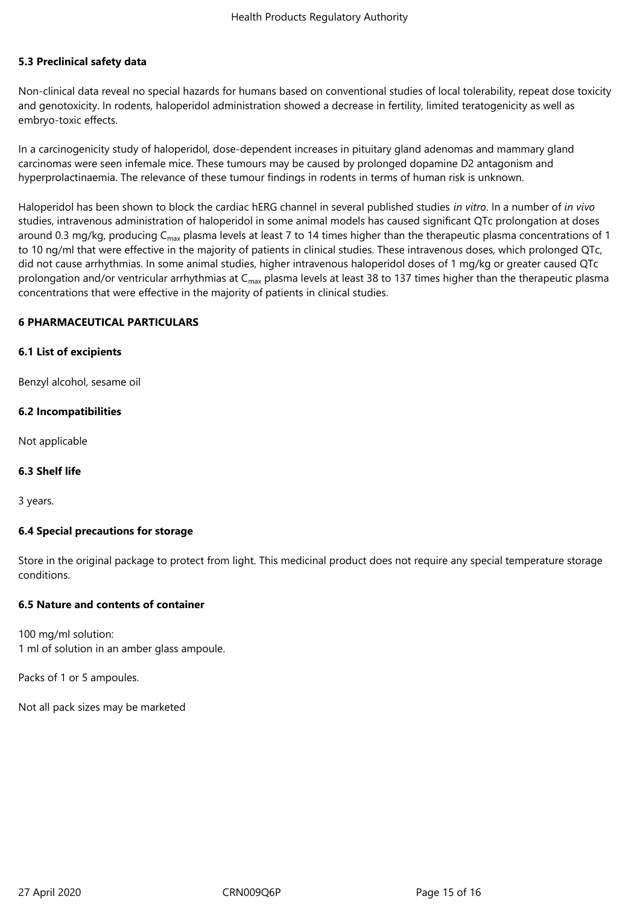### **5.3 Preclinical safety data**

Non-clinical data reveal no special hazards for humans based on conventional studies of local tolerability, repeat dose toxicity and genotoxicity. In rodents, haloperidol administration showed a decrease in fertility, limited teratogenicity as well as embryo-toxic effects.

In a carcinogenicity study of haloperidol, dose-dependent increases in pituitary gland adenomas and mammary gland carcinomas were seen infemale mice. These tumours may be caused by prolonged dopamine D2 antagonism and hyperprolactinaemia. The relevance of these tumour findings in rodents in terms of human risk is unknown.

Haloperidol has been shown to block the cardiac hERG channel in several published studies *in vitro*. In a number of *in vivo* studies, intravenous administration of haloperidol in some animal models has caused significant QTc prolongation at doses around 0.3 mg/kg, producing C<sub>max</sub> plasma levels at least 7 to 14 times higher than the therapeutic plasma concentrations of 1 to 10 ng/ml that were effective in the majority of patients in clinical studies. These intravenous doses, which prolonged QTc, did not cause arrhythmias. In some animal studies, higher intravenous haloperidol doses of 1 mg/kg or greater caused QTc prolongation and/or ventricular arrhythmias at  $C_{\text{max}}$  plasma levels at least 38 to 137 times higher than the therapeutic plasma concentrations that were effective in the majority of patients in clinical studies.

### **6 PHARMACEUTICAL PARTICULARS**

#### **6.1 List of excipients**

Benzyl alcohol, sesame oil

### **6.2 Incompatibilities**

Not applicable

### **6.3 Shelf life**

3 years.

### **6.4 Special precautions for storage**

Store in the original package to protect from light. This medicinal product does not require any special temperature storage conditions.

### **6.5 Nature and contents of container**

100 mg/ml solution: 1 ml of solution in an amber glass ampoule.

Packs of 1 or 5 ampoules.

Not all pack sizes may be marketed